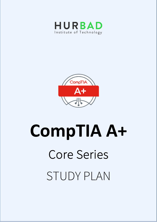



# **CompTIA A+**  Core Series STUDY PLAN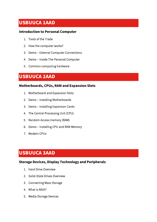# **USBUUCA 1AAD**

#### **Introduction to Personal Computer**

- 1. Tools of the Trade
- 2. How the computer works?
- 3. Demo External Computer Connections
- 4. Demo Inside The Personal Computer
- 5. Common computing hardware

## **USBUUCA 2AAD**

## **Motherboards, CPUs, RAM and Expansion Slots**

- 1. Motherboard and Expansion Slots
- 2. Demo Installing Motherboards
- 3. Demo Installing Expansion Cards
- 4. The Central Processing Unit (CPU)
- 5. Random Access memory (RAM)
- 6. Demo Installing CPU and RAM Memory
- 7. Modern CPUs

## **USBUUCA 3AAD**

## **Storage Devices, Display Technology and Peripherals**

- 1. Hard Drive Overview
- 2. Solid-State Drives Overview
- 3. Connecting Mass Storage
- 4. What is RAID?
- 5. Media Storage Devices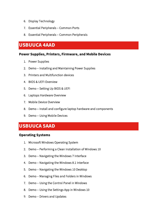- 6. Display Technology
- 7. Essential Peripherals Common Ports
- 8. Essential Peripherals Common Peripherals

## **USBUUCA 4AAD**

#### **Power Supplies, Printers, Firmware, and Mobile Devices**

- 1. Power Supplies
- 2. Demo Installing and Maintaining Power Supplies
- 3. Printers and Multifunction devices
- 4. BIOS & UEFI Overview
- 5. Demo Setting Up BIOS & UEFI
- 6. Laptops Hardware Overview
- 7. Mobile Device Overview
- 8. Demo Install and configure laptop hardware and components
- 9. Demo Using Mobile Devices

## **USBUUCA 5AAD**

#### **Operating Systems**

- 1. Microsoft Windows Operating System
- 2. Demo Performing a Clean Installation of Windows 10
- 3. Demo Navigating the Windows 7 Interface
- 4. Demo Navigating the Windows 8.1 Interface
- 5. Demo Navigating the Windows 10 Desktop
- 6. Demo Managing Files and Folders in Windows
- 7. Demo Using the Control Panel in Windows
- 8. Demo Using the Settings App in Windows 10
- 9. Demo Drivers and Updates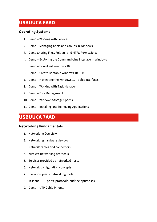# **USBUUCA 6AAD**

## **Operating Systems**

- 1. Demo Working with Services
- 2. Demo Managing Users and Groups in Windows
- 3. Demo Sharing Files, Folders, and NTFS Permissions
- 4. Demo Exploring the Command-Line Interface in Windows
- 5. Demo Download Windows 10
- 6. Demo Create Bootable Windows 10 USB
- 7. Demo Navigating the Windows 10 Tablet Interfaces
- 8. Demo Working with Task Manager
- 9. Demo Disk Management
- 10. Demo Windows Storage Spaces
- 11. Demo Installing and Removing Applications

# **USBUUCA 7AAD**

## **Networking Fundamentals**

- 1. Networking Overview
- 2. Networking hardware devices
- 3. Network cables and connectors
- 4. Wireless networking protocols
- 5. Services provided by networked hosts
- 6. Network configuration concepts
- 7. Use appropriate networking tools
- 8. TCP and UDP ports, protocols, and their purposes
- 9. Demo UTP Cable Pinouts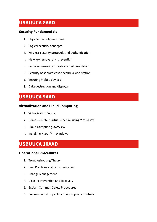# **USBUUCA 8AAD**

## **Security Fundamentals**

- 1. Physical security measures
- 2. Logical security concepts
- 3. Wireless security protocols and authentication
- 4. Malware removal and prevention
- 5. Social engineering threats and vulnerabilities
- 6. Security best practices to secure a workstation
- 7. Securing mobile devices
- 8. Data destruction and disposal

# **USBUUCA 9AAD**

## **Virtualization and Cloud Computing**

- 1. Virtualization Basics
- 2. Demo create a virtual machine using VirtualBox
- 3. Cloud Computing Overview
- 4. Installing Hyper-V in Windows

# **USBUUCA 10AAD**

## **Operational Procedures**

- 1. Troubleshooting Theory
- 2. Best Practices and Documentation
- 3. Change Management
- 4. Disaster Prevention and Recovery
- 5. Explain Common Safety Procedures
- 6. Environmental Impacts and Appropriate Controls